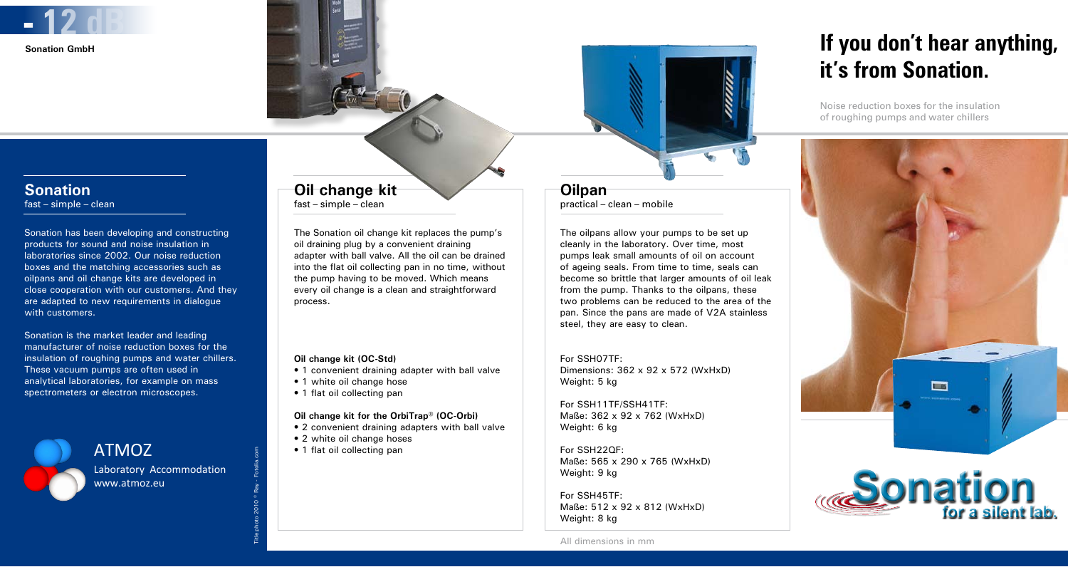

**Sonation GmbH**

Sonation has been developing and constructing products for sound and noise insulation in laboratories since 2002. Our noise reduction boxes and the matching accessories such as oilpans and oil change kits are developed in close cooperation with our customers. And they are adapted to new requirements in dialogue with customers.

Sonation is the market leader and leading manufacturer of noise reduction boxes for the insulation of roughing pumps and water chillers. These vacuum pumps are often used in analytical laboratories, for example on mass spectrometers or electron microscopes.



ATMOZ Laboratory Accommodation www.atmoz.eu

Title photo 2010 © Ray - Fotolia.com

### **Sonation**<br> **Oil change kit**<br> **Oil change kit**<br> **Oilpan**  $\frac{1}{\text{fast - simple - clean}}$

The Sonation oil change kit replaces the pump's oil draining plug by a convenient draining adapter with ball valve. All the oil can be drained into the flat oil collecting pan in no time, without the pump having to be moved. Which means every oil change is a clean and straightforward process.

#### **Oil change kit (OC-Std)**

- 1 convenient draining adapter with ball valve
- 1 white oil change hose
- 1 flat oil collecting pan

#### **Oil change kit for the OrbiTrap® (OC-Orbi)**

- 2 convenient draining adapters with ball valve
- 2 white oil change hoses
- 1 flat oil collecting pan

#### practical – clean – mobile

The oilpans allow your pumps to be set up cleanly in the laboratory. Over time, most pumps leak small amounts of oil on account of ageing seals. From time to time, seals can become so brittle that larger amounts of oil leak from the pump. Thanks to the oilpans, these two problems can be reduced to the area of the pan. Since the pans are made of V2A stainless steel, they are easy to clean.

#### For SSH07TF:

Dimensions: 362 x 92 x 572 (WxHxD) Weight: 5 kg

For SSH11TF/SSH41TF: Maße: 362 x 92 x 762 (WxHxD) Weight: 6 kg

For SSH22QF: Maße: 565 x 290 x 765 (WxHxD) Weight: 9 kg

For SSH45TF: Maße: 512 x 92 x 812 (WxHxD) Weight: 8 kg

### **If you don't hear anything, it's from Sonation.**

Noise reduction boxes for the insulation of roughing pumps and water chillers